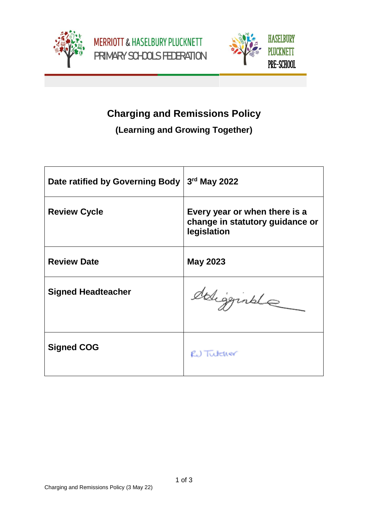





## **Charging and Remissions Policy**

## **(Learning and Growing Together)**

| Date ratified by Governing Body | 3rd May 2022                                                                    |
|---------------------------------|---------------------------------------------------------------------------------|
| <b>Review Cycle</b>             | Every year or when there is a<br>change in statutory guidance or<br>legislation |
| <b>Review Date</b>              | <b>May 2023</b>                                                                 |
| <b>Signed Headteacher</b>       | deligginale                                                                     |
| <b>Signed COG</b>               | RU Tutcher                                                                      |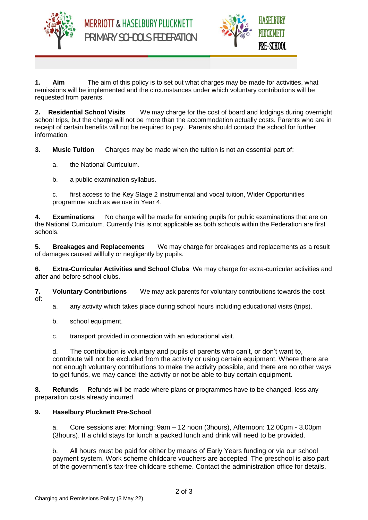



**1. Aim** The aim of this policy is to set out what charges may be made for activities, what remissions will be implemented and the circumstances under which voluntary contributions will be requested from parents.

**2. Residential School Visits** We may charge for the cost of board and lodgings during overnight school trips, but the charge will not be more than the accommodation actually costs. Parents who are in receipt of certain benefits will not be required to pay. Parents should contact the school for further information.

**3. Music Tuition** Charges may be made when the tuition is not an essential part of:

- a. the National Curriculum.
- b. a public examination syllabus.

c. first access to the Key Stage 2 instrumental and vocal tuition, Wider Opportunities programme such as we use in Year 4.

**4. Examinations** No charge will be made for entering pupils for public examinations that are on the National Curriculum. Currently this is not applicable as both schools within the Federation are first schools.

**5. Breakages and Replacements** We may charge for breakages and replacements as a result of damages caused willfully or negligently by pupils.

**6. Extra-Curricular Activities and School Clubs** We may charge for extra-curricular activities and after and before school clubs.

**7. Voluntary Contributions** We may ask parents for voluntary contributions towards the cost of:

- a. any activity which takes place during school hours including educational visits (trips).
- b. school equipment.
- c. transport provided in connection with an educational visit.

d. The contribution is voluntary and pupils of parents who can't, or don't want to, contribute will not be excluded from the activity or using certain equipment. Where there are not enough voluntary contributions to make the activity possible, and there are no other ways to get funds, we may cancel the activity or not be able to buy certain equipment.

**8. Refunds** Refunds will be made where plans or programmes have to be changed, less any preparation costs already incurred.

## **9. Haselbury Plucknett Pre-School**

a. Core sessions are: Morning: 9am – 12 noon (3hours), Afternoon: 12.00pm - 3.00pm (3hours). If a child stays for lunch a packed lunch and drink will need to be provided.

b. All hours must be paid for either by means of Early Years funding or via our school payment system. Work scheme childcare vouchers are accepted. The preschool is also part of the government's tax-free childcare scheme. Contact the administration office for details.